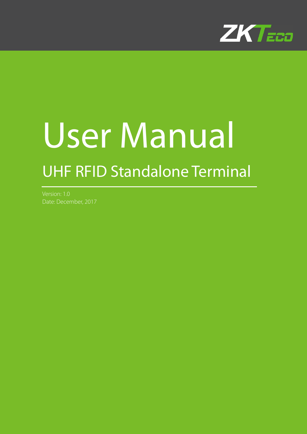

# User Manual UHF RFID Standalone Terminal

Version: 1.0 Date: December, 2017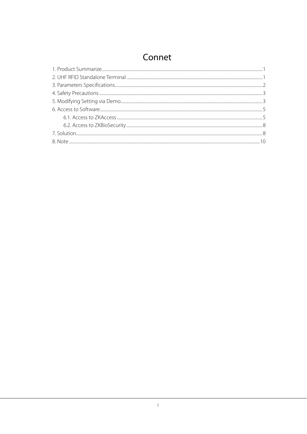## Connet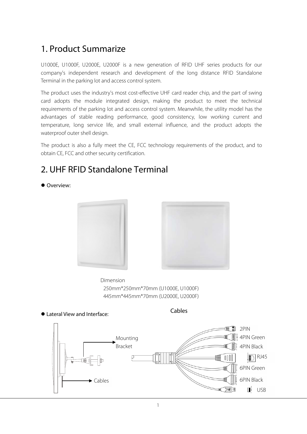## 1. Product Summarize

U1000E, U1000F, U2000E, U2000F is a new generation of RFID UHF series products for our company's independent research and development of the long distance RFID Standalone Terminal in the parking lot and access control system.

The product uses the industry's most cost-effective UHF card reader chip, and the part of swing card adopts the module integrated design, making the product to meet the technical requirements of the parking lot and access control system. Meanwhile, the utility model has the advantages of stable reading performance, good consistency, low working current and temperature, long service life, and small external influence, and the product adopts the waterproof outer shell design.

The product is also a fully meet the CE, FCC technology requirements of the product, and to obtain CE, FCC and other security certification.

## 2. UHF RFID Standalone Terminal

● Overview:





Dimension 250mm\*250mm\*70mm (U1000E, U1000F) 445mm\*445mm\*70mm (U2000E, U2000F)



Cables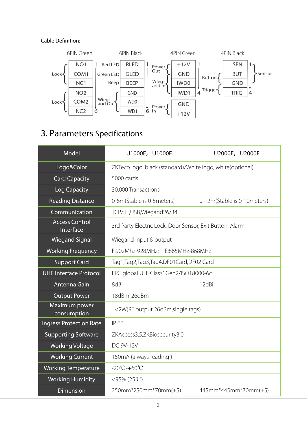#### Cable Definition:



## 3. Parameters Specifications

| Model                              | U1000E, U1000F                                             | U2000E, U2000F                         |  |  |  |  |
|------------------------------------|------------------------------------------------------------|----------------------------------------|--|--|--|--|
| Logo&Color                         | ZKTeco logo, black (standard)/White logo, white (optional) |                                        |  |  |  |  |
| <b>Card Capacity</b>               | 5000 cards                                                 |                                        |  |  |  |  |
| <b>Log Capacity</b>                | 30,000 Transactions                                        |                                        |  |  |  |  |
| <b>Reading Distance</b>            | 0-6m(Stable is 0-5 meters)                                 | 0-12m(Stable is 0-10meters)            |  |  |  |  |
| Communication                      | TCP/IP, USB, Wiegand 26/34                                 |                                        |  |  |  |  |
| <b>Access Control</b><br>Interface | 3rd Party Electric Lock, Door Sensor, Exit Button, Alarm   |                                        |  |  |  |  |
| <b>Wiegand Signal</b>              | Wiegand input & output                                     |                                        |  |  |  |  |
| <b>Working Frequency</b>           | F:902Mhz-928MHz; E:865MHz-868MHz                           |                                        |  |  |  |  |
| <b>Support Card</b>                |                                                            | Tag1,Tag2,Tag3,Tag4,DF01Card,DF02 Card |  |  |  |  |
| <b>UHF Interface Protocol</b>      | EPC global UHFClass1Gen2/ISO18000-6c                       |                                        |  |  |  |  |
| Antenna Gain                       | 8dBi<br>12dBi                                              |                                        |  |  |  |  |
| <b>Output Power</b>                | 18dBm-26dBm                                                |                                        |  |  |  |  |
| Maximum power<br>consumption       | <2W(RF output 26dBm, single tags)                          |                                        |  |  |  |  |
| <b>Ingress Protection Rate</b>     | IP 66                                                      |                                        |  |  |  |  |
| <b>Supporting Software</b>         | ZKAccess3.5;ZKBiosecurity3.0                               |                                        |  |  |  |  |
| <b>Working Voltage</b>             | DC 9V-12V                                                  |                                        |  |  |  |  |
| <b>Working Current</b>             | 150mA (always reading)                                     |                                        |  |  |  |  |
| <b>Working Temperature</b>         | $-20^{\circ}\text{C} - +60^{\circ}\text{C}$                |                                        |  |  |  |  |
| <b>Working Humidity</b>            | $<$ 95% (25°C)                                             |                                        |  |  |  |  |
| <b>Dimension</b>                   | 250mm*250mm*70mm(±5)                                       | 445mm*445mm*70mm(±5)                   |  |  |  |  |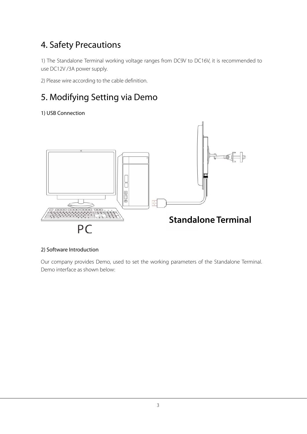## 4. Safety Precautions

1) The Standalone Terminal working voltage ranges from DC9V to DC16V, it is recommended to use DC12V /3A power supply.

2) Please wire according to the cable definition.

# 5. Modifying Setting via Demo

1) USB Connection



#### 2) Software Introduction

Our company provides Demo, used to set the working parameters of the Standalone Terminal. Demo interface as shown below: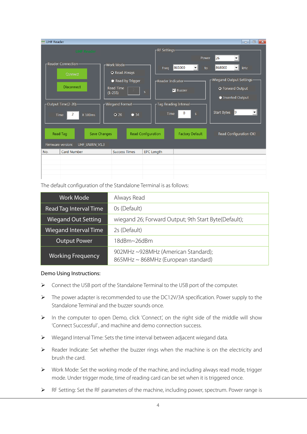| UHF Reader                                                                                               |                                                                                                                                                  |                                                                                               | $\mathbf{x}$<br>$\Box$<br>$\qquad \qquad$                                                                                                                                                          |
|----------------------------------------------------------------------------------------------------------|--------------------------------------------------------------------------------------------------------------------------------------------------|-----------------------------------------------------------------------------------------------|----------------------------------------------------------------------------------------------------------------------------------------------------------------------------------------------------|
| <b>UHF Reader</b>                                                                                        |                                                                                                                                                  | -RF Settings                                                                                  |                                                                                                                                                                                                    |
| -Reader Connection-<br>Connect<br><b>Disconnect</b><br>Output Time(2-20)-<br>2<br>X 100ms<br><b>Time</b> | -Work Mode-<br><sup>O</sup> Read Always<br>Read by Trigger<br><b>Read Time</b><br>$\mathsf{s}$<br>$(1-255)$<br>-Wiegand Format<br>$Q$ 26<br>• 34 | 865000<br>Freq<br>-Reader Indicator-<br><b>N</b> Buzzer<br>Tag Reading Interval-<br>0<br>Time | Power<br>26<br>868000<br>kHz<br>$\vert \mathbf{v} \vert$<br>to<br>-Wiegand Output Settings-<br><b>O</b> Forward Output<br><b>O</b> Inverted Output<br>Start Bytes<br>19<br>$\vert$<br>$\mathsf{s}$ |
| Read Tag<br>Save Changes                                                                                 | Read Configuration                                                                                                                               | <b>Factory Default</b>                                                                        | Read Configuration OK!                                                                                                                                                                             |
| Firmware version:<br>UHF_UWRN_V1.3                                                                       |                                                                                                                                                  |                                                                                               |                                                                                                                                                                                                    |
| Card Number<br>No.                                                                                       | <b>Success Times</b>                                                                                                                             | <b>EPC Length</b>                                                                             |                                                                                                                                                                                                    |
|                                                                                                          |                                                                                                                                                  |                                                                                               |                                                                                                                                                                                                    |
|                                                                                                          |                                                                                                                                                  |                                                                                               |                                                                                                                                                                                                    |
|                                                                                                          |                                                                                                                                                  |                                                                                               |                                                                                                                                                                                                    |

The default configuration of the Standalone Terminal is as follows:

| <b>Work Mode</b>             | Always Read                                                                |
|------------------------------|----------------------------------------------------------------------------|
| Read Tag Interval Time       | Os (Default)                                                               |
| <b>Wiegand Out Setting</b>   | wiegand 26; Forward Output; 9th Start Byte(Default);                       |
| <b>Wiegand Interval Time</b> | 2s (Default)                                                               |
| <b>Output Power</b>          | 18dBm~26dBm                                                                |
| <b>Working Frequency</b>     | 902MHz ~928MHz (American Standard);<br>865MHz ~ 868MHz (European standard) |

#### Demo Using Instructions:

- Connect the USB port of the Standalone Terminal to the USB port of the computer.
- The power adapter is recommended to use the DC12V/3A specification. Power supply to the Standalone Terminal and the buzzer sounds once.
- In the computer to open Demo, click 'Connect', on the right side of the middle will show 'Connect Successful' , and machine and demo connection success.
- Wiegand Interval Time: Sets the time interval between adjacent wiegand data.
- Reader Indicate: Set whether the buzzer rings when the machine is on the electricity and brush the card.
- $\triangleright$  Work Mode: Set the working mode of the machine, and including always read mode, trigger mode. Under trigger mode, time of reading card can be set when it is triggered once.
- RF Setting: Set the RF parameters of the machine, including power, spectrum. Power range is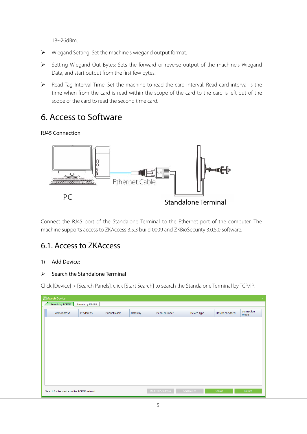18~26dBm.

- Wiegand Setting: Set the machine's wiegand output format.
- Setting Wiegand Out Bytes: Sets the forward or reverse output of the machine's Wiegand Data, and start output from the first few bytes.
- Read Tag Interval Time: Set the machine to read the card interval. Read card interval is the time when from the card is read within the scope of the card to the card is left out of the scope of the card to read the second time card.

## 6. Access to Software

#### RJ45 Connection



Connect the RJ45 port of the Standalone Terminal to the Ethernet port of the computer. The machine supports access to ZKAccess 3.5.3 build 0009 and ZKBioSecurity 3.0.5.0 software.

### 6.1. Access to ZKAccess

#### 1) Add Device:

#### $\triangleright$  Search the Standalone Terminal

Click [Device] > [Search Panels], click [Start Search] to search the Standalone Terminal by TCP/IP.

| 图 Search Device                              |                   |             |         |                   |             |                | $\propto$          |
|----------------------------------------------|-------------------|-------------|---------|-------------------|-------------|----------------|--------------------|
| Search by TCP/IP                             | Search by RS485   |             |         |                   |             |                |                    |
| <b>MAC Address</b>                           | <b>IP Address</b> | Subnet Mask | Gateway | Serial Number     | Device Type | Has Been Added | connection<br>mode |
|                                              |                   |             |         |                   |             |                |                    |
|                                              |                   |             |         |                   |             |                |                    |
|                                              |                   |             |         |                   |             |                |                    |
|                                              |                   |             |         |                   |             |                |                    |
|                                              |                   |             |         |                   |             |                |                    |
|                                              |                   |             |         |                   |             |                |                    |
|                                              |                   |             |         |                   |             |                |                    |
|                                              |                   |             |         |                   |             |                |                    |
| Search for the device on the TCP/IP network. |                   |             |         | Modify IP Address | Add Device  | Search         | Return             |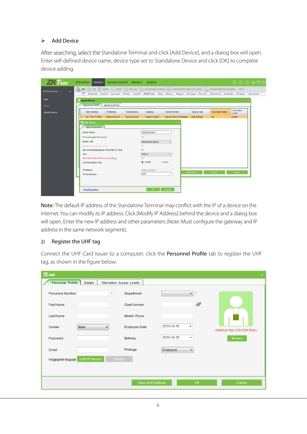#### $\triangleright$  Add Device

After searching, select the Standalone Terminal and click [Add Device], and a dialog box will open. Enter self-defined device name, device type set to Standalone Device and click [OK] to complete device adding.

| <b>ZKTECO</b>                                    | Personnel<br>Device Access Control Reports System                                                                                             |                                                                                                                                        |                               | \$00008             |
|--------------------------------------------------|-----------------------------------------------------------------------------------------------------------------------------------------------|----------------------------------------------------------------------------------------------------------------------------------------|-------------------------------|---------------------|
| $\overline{\mathbf{z}}$<br><b>Ed Device Name</b> | Add B Edit T Delete C Search 23 GetLogs 39 SyncAll Data To Device R   Get Personnel Data From Device 2 Get Information of Personnel More<br>п | Device Na. Serial N. Communi IP Addr. Serial P. RS485 Addr. Enab. Person. Fingerp. Vein Quan. Face Qu. PalmVein Q. Device No. Firmware |                               | Area Name           |
| Area                                             | Search Device                                                                                                                                 |                                                                                                                                        |                               |                     |
| Device                                           | Search by TCP/IP<br>Search by RS485                                                                                                           |                                                                                                                                        |                               |                     |
| <b>Search Device</b>                             | MAC Address<br>IP Address<br>Subnet Mask                                                                                                      | Gateway<br>Serial Number                                                                                                               | Has Been Added<br>Device Type | connection.<br>mode |
|                                                  | 00:17:61:11:19:fa<br>169.254.30.201<br>255.255.255.0<br>п                                                                                     | 169.254.30.201<br>ODG7072017072400004                                                                                                  | <b>UHFS1000E</b><br>No:       | <b>TCP/IP</b>       |
|                                                  | <b>Z</b> Add Device                                                                                                                           |                                                                                                                                        |                               |                     |
|                                                  | <b>Basic Parameters</b>                                                                                                                       |                                                                                                                                        |                               |                     |
|                                                  | Device Name                                                                                                                                   | 169.254.30.201                                                                                                                         |                               |                     |
|                                                  | Communication Password                                                                                                                        |                                                                                                                                        |                               |                     |
|                                                  |                                                                                                                                               |                                                                                                                                        |                               |                     |
|                                                  | Device Type                                                                                                                                   | Standalone Device                                                                                                                      |                               |                     |
|                                                  | Switch to Two-door Two-way.<br>Auto Synchronize Device Time With PC Time                                                                      | $\mathcal{L}$                                                                                                                          |                               |                     |
|                                                  | Area                                                                                                                                          | $\omega$ :<br>ZKTeca                                                                                                                   |                               |                     |
|                                                  | Clear Data in the Device when Adding                                                                                                          |                                                                                                                                        |                               |                     |
|                                                  | Communication Type                                                                                                                            | O TCPAP<br><b>DRS485</b>                                                                                                               |                               |                     |
|                                                  |                                                                                                                                               |                                                                                                                                        |                               |                     |
|                                                  | IP Address                                                                                                                                    | $\alpha$<br>169.254.30.201                                                                                                             |                               |                     |
|                                                  | IP Port Number                                                                                                                                | 4370<br>٠                                                                                                                              | Add Device<br>Search          | Return              |
|                                                  |                                                                                                                                               |                                                                                                                                        |                               |                     |
|                                                  |                                                                                                                                               |                                                                                                                                        |                               |                     |
|                                                  | <b>Test Connection</b>                                                                                                                        | Cancel<br><b>OK</b>                                                                                                                    |                               |                     |
|                                                  |                                                                                                                                               |                                                                                                                                        |                               |                     |

Note: The default IP address of the Standalone Terminal may conflict with the IP of a device on the Internet. You can modify its IP address: Click [Modify IP Address] behind the device and a dialog box will open. Enter the new IP address and other parameters (Note: Must configure the gateway and IP address in the same network segment).

#### 2) Register the UHF tag

Connect the UHF Card Issuer to a computer; click the Personnel Profile tab to register the UHF tag, as shown in the figure below:

| 图 Add               |                |                           |                                  | $\infty$                     |
|---------------------|----------------|---------------------------|----------------------------------|------------------------------|
| Personnel Profile   | <b>Details</b> | Alternative Access Levels |                                  |                              |
| Personnel Number    |                | $\star$<br>Department     | $\star$<br>۰                     |                              |
| <b>First Name</b>   |                | <b>Card Number</b>        | 學                                |                              |
| <b>Last Name</b>    |                | <b>Mobile Phone</b>       |                                  |                              |
| Gender              | Male<br>۰      | <b>Employee Date</b>      | 2015-10-15<br>۰                  | (Optimal Size 230×230 Pixel) |
| Password            |                | Birthday                  | 2015-10-15<br>▼                  | <b>Browse</b>                |
| Email               |                | Privilege                 | Employee<br>$\blacktriangledown$ |                              |
| Fingerprint Registe | USB FP Sensor  | Device                    |                                  |                              |
|                     |                | Save and Continue         | OK.                              | Cancel                       |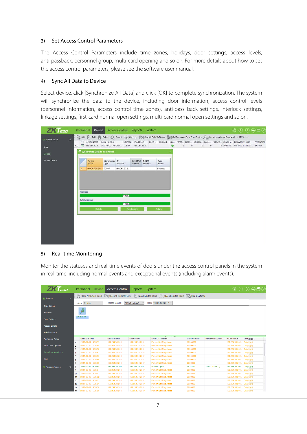#### 3) Set Access Control Parameters

The Access Control Parameters include time zones, holidays, door settings, access levels, anti-passback, personnel group, multi-card opening and so on. For more details about how to set the access control parameters, please see the software user manual.

#### 4) Sync All Data to Device

Select device, click [Synchronize All Data] and click [OK] to complete synchronization. The system will synchronize the data to the device, including door information, access control levels (personnel information, access control time zones), anti-pass back settings, interlock settings, linkage settings, first-card normal open settings, multi-card normal open settings and so on.



#### 5) Real-time Monitoring

Monitor the statuses and real-time events of doors under the access control panels in the system in real-time, including normal events and exceptional events (including alarm events).

| <b>ZK</b> Eco                         |                | Personnel           | <b>Device</b> | <b>Access Control</b> | Reports            | System                                                                                                               |                    |                    |                           | $\circledR$ $\circledR$ $\circledR$ $\circledR$ |  |
|---------------------------------------|----------------|---------------------|---------------|-----------------------|--------------------|----------------------------------------------------------------------------------------------------------------------|--------------------|--------------------|---------------------------|-------------------------------------------------|--|
| <b>R</b> Access<br>$\hat{\mathbf{x}}$ | 雨              |                     |               |                       |                    | Open All Current Doors To Close All Current Doors To Open Selected Doors To Close Selected Doors Top Stop Monitoring |                    |                    |                           |                                                 |  |
|                                       |                | ZKTeco<br>Area      | $\checkmark$  | <b>Access Control</b> | 169.254.30.201     | Door 169.254.30.201-1 V                                                                                              |                    |                    |                           |                                                 |  |
| <b>Time Zones</b>                     |                |                     |               |                       |                    |                                                                                                                      |                    |                    |                           |                                                 |  |
| Holidays                              |                | R,                  |               |                       |                    |                                                                                                                      |                    |                    |                           |                                                 |  |
| Door Settings                         |                | 169.254.30.         |               |                       |                    |                                                                                                                      |                    |                    |                           |                                                 |  |
| <b>Access Levels</b>                  |                |                     |               |                       |                    |                                                                                                                      |                    |                    |                           |                                                 |  |
| Anti-Passback                         |                |                     |               |                       |                    |                                                                                                                      |                    |                    |                           |                                                 |  |
|                                       |                |                     |               |                       |                    |                                                                                                                      |                    |                    |                           |                                                 |  |
| <b>Personnel Group</b>                |                | Date And Time       |               | Device Name           | <b>Event Point</b> | <b>Event Description</b>                                                                                             | <b>Card Number</b> | Personnel ID(First | <b>In/Out Status</b>      | Verify Type                                     |  |
|                                       | $+1$           | 2017-09-19 16:35:59 |               | 169.254.30.201        | 169.254.30.201-1   | <b>Person Not Registered</b>                                                                                         | 10000000           |                    | 169.254.30.201.           | Only Card                                       |  |
| Multi-Card Opening                    | $\overline{2}$ | 2017-09-19 16:35:58 |               | 169.254.30.201        | 169.254.30.201-1   | Person Not Registered                                                                                                | 10000000           |                    | 169.254.30.201.           | <b>Only Card</b>                                |  |
|                                       | 3              | 2017-09-19 16:35:58 |               | 169.254.30.201        | 169.254.30.201-1   | Person Not Registered                                                                                                | 10000000           |                    | 169.254.30.201 Only Card  |                                                 |  |
| Real-Time Monitoring                  | $\overline{4}$ | 2017-09-19 16:35:57 |               | 169.254.30.201        | 169.254.30.201-1   | Person Not Registered                                                                                                | 10000000           |                    | 169.254.30.201 Only Card  |                                                 |  |
|                                       | 5              | 2017-09-19 16:35:56 |               | 169.254.30.201        | 169.254.30.201-1   | Person Not Registered                                                                                                | 10000000           |                    | 169.254.30.201 Only Card  |                                                 |  |
| Map                                   | 6              | 2017-09-19 16:35:56 |               | 169.254.30.201        | 169.254.30.201-1   | Person Not Registered                                                                                                | 10000000           |                    | 169.254.30.201            | <b>Only Card</b>                                |  |
|                                       | 7              | 2017-09-19 16:35:55 |               | 169.254.30.201        | 169.254.30.201-1   | <b>Person Not Registered</b>                                                                                         | 8888888            |                    | 169.254.30.201 Only Card  |                                                 |  |
| Advance Access<br>$\mathbf{x}$        | 8              | 2017-09-19 16:35:54 |               | 169.254.30.201        | 169.254.30.201-1   | Normal Open                                                                                                          | 9831122            | 117022(Jack Li)    | 169.254.30.201 Only Card  |                                                 |  |
|                                       | 9              | 2017-09-19 16:35:54 |               | 169.254.30.201        | 169.254.30.201-1   | Person Not Registered                                                                                                | 8888888            |                    | 169.254.30.201 Only Card  |                                                 |  |
|                                       | 10             | 2017-09-19 16:35:53 |               | 169.254.30.201        | 169.254.30.201-1   | <b>Person Not Registered</b>                                                                                         | 8888888            |                    | 169.254.30.201 Only Card  |                                                 |  |
|                                       | 11             | 2017-09-19 16:35:52 |               | 169.254.30.201        | 169.254.30.201-1   | <b>Person Not Registered</b>                                                                                         | 8888888            |                    | 169.254.30.201.           | <b>Only Card</b>                                |  |
|                                       | 12             | 2017-09-19 16:35:52 |               | 169.254.30.201        | 169.254.30.201-1   | <b>Person Not Registered</b>                                                                                         | 8888888            |                    | 169.254.30.201 Only Card  |                                                 |  |
|                                       | 13             | 2017-09-19 16:35:51 |               | 169.254.30.201        | 169.254.30.201-1   | <b>Person Not Registered</b>                                                                                         | 8888888            |                    | 169.254.30.201 Only Card  |                                                 |  |
|                                       | 14             | 2017-09-19 16:35:50 |               | 169.254.30.201        | 169.254.30.201-1   | Person Not Registered                                                                                                | 8888888            |                    | 169.254.30.201 Only Card  |                                                 |  |
|                                       | 15             | 2017-09-19 16:35:50 |               | 169.254.30.201        | 169.254.30.201-1   | Person Not Registered                                                                                                | 8888888            |                    | 169.254.30.201. Only Card |                                                 |  |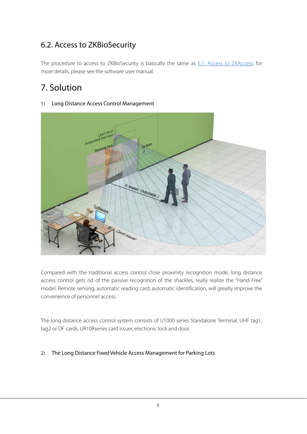## 6.2. Access to ZKBioSecurity

The procedure to access to ZKBioSecurity is basically the same as 6.1. Access to ZKAccess; for more details, please see the software user manual.

# 7. Solution

#### 1) Long Distance Access Control Management



Compared with the traditional access control close proximity recognition mode, long distance access control gets rid of the passive recognition of the shackles, really realize the "Hand Free" model. Remote sensing, automatic reading card, automatic identification, will greatly improve the convenience of personnel access.

The long distance access control system consists of U1000 series Standalone Terminal, UHF tag1, tag2 or DF cards, UR10Rseries card issuer, electronic lock and door.

#### 2) The Long Distance Fixed Vehicle Access Management for Parking Lots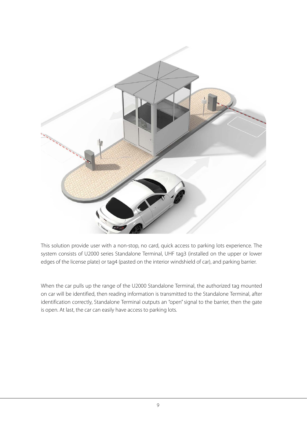

This solution provide user with a non-stop, no card, quick access to parking lots experience. The system consists of U2000 series Standalone Terminal, UHF tag3 (installed on the upper or lower edges of the license plate) or tag4 (pasted on the interior windshield of car), and parking barrier.

When the car pulls up the range of the U2000 Standalone Terminal, the authorized tag mounted on car will be identified, then reading information is transmitted to the Standalone Terminal, after identification correctly, Standalone Terminal outputs an "open" signal to the barrier, then the gate is open. At last, the car can easily have access to parking lots.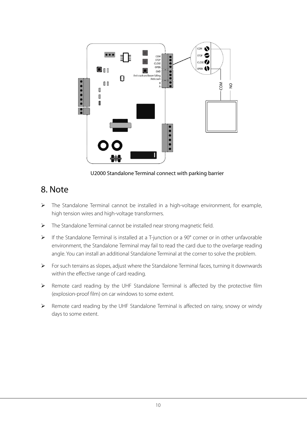

U2000 Standalone Terminal connect with parking barrier

## 8. Note

- The Standalone Terminal cannot be installed in a high-voltage environment, for example, high tension wires and high-voltage transformers.
- > The Standalone Terminal cannot be installed near strong magnetic field.
- $\triangleright$  If the Standalone Terminal is installed at a T-junction or a 90 $^{\circ}$  corner or in other unfavorable environment, the Standalone Terminal may fail to read the card due to the overlarge reading angle. You can install an additional Standalone Terminal at the corner to solve the problem.
- $\triangleright$  For such terrains as slopes, adjust where the Standalone Terminal faces, turning it downwards within the effective range of card reading.
- Remote card reading by the UHF Standalone Terminal is affected by the protective film (explosion-proof film) on car windows to some extent.
- Remote card reading by the UHF Standalone Terminal is affected on rainy, snowy or windy days to some extent.